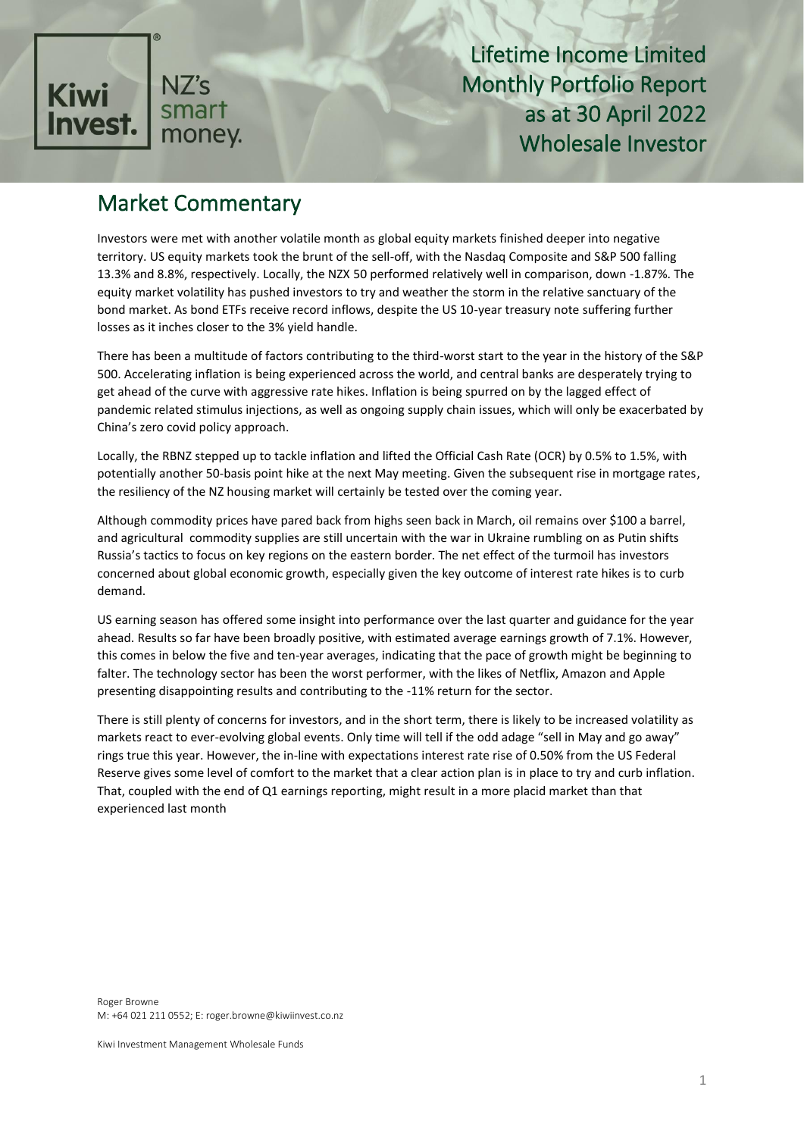

## Market Commentary

Investors were met with another volatile month as global equity markets finished deeper into negative territory. US equity markets took the brunt of the sell-off, with the Nasdaq Composite and S&P 500 falling 13.3% and 8.8%, respectively. Locally, the NZX 50 performed relatively well in comparison, down -1.87%. The equity market volatility has pushed investors to try and weather the storm in the relative sanctuary of the bond market. As bond ETFs receive record inflows, despite the US 10-year treasury note suffering further losses as it inches closer to the 3% yield handle.

There has been a multitude of factors contributing to the third-worst start to the year in the history of the S&P 500. Accelerating inflation is being experienced across the world, and central banks are desperately trying to get ahead of the curve with aggressive rate hikes. Inflation is being spurred on by the lagged effect of pandemic related stimulus injections, as well as ongoing supply chain issues, which will only be exacerbated by China's zero covid policy approach.

Locally, the RBNZ stepped up to tackle inflation and lifted the Official Cash Rate (OCR) by 0.5% to 1.5%, with potentially another 50-basis point hike at the next May meeting. Given the subsequent rise in mortgage rates, the resiliency of the NZ housing market will certainly be tested over the coming year.

Although commodity prices have pared back from highs seen back in March, oil remains over \$100 a barrel, and agricultural commodity supplies are still uncertain with the war in Ukraine rumbling on as Putin shifts Russia's tactics to focus on key regions on the eastern border. The net effect of the turmoil has investors concerned about global economic growth, especially given the key outcome of interest rate hikes is to curb demand.

US earning season has offered some insight into performance over the last quarter and guidance for the year ahead. Results so far have been broadly positive, with estimated average earnings growth of 7.1%. However, this comes in below the five and ten-year averages, indicating that the pace of growth might be beginning to falter. The technology sector has been the worst performer, with the likes of Netflix, Amazon and Apple presenting disappointing results and contributing to the -11% return for the sector.

There is still plenty of concerns for investors, and in the short term, there is likely to be increased volatility as markets react to ever-evolving global events. Only time will tell if the odd adage "sell in May and go away" rings true this year. However, the in-line with expectations interest rate rise of 0.50% from the US Federal Reserve gives some level of comfort to the market that a clear action plan is in place to try and curb inflation. That, coupled with the end of Q1 earnings reporting, might result in a more placid market than that experienced last month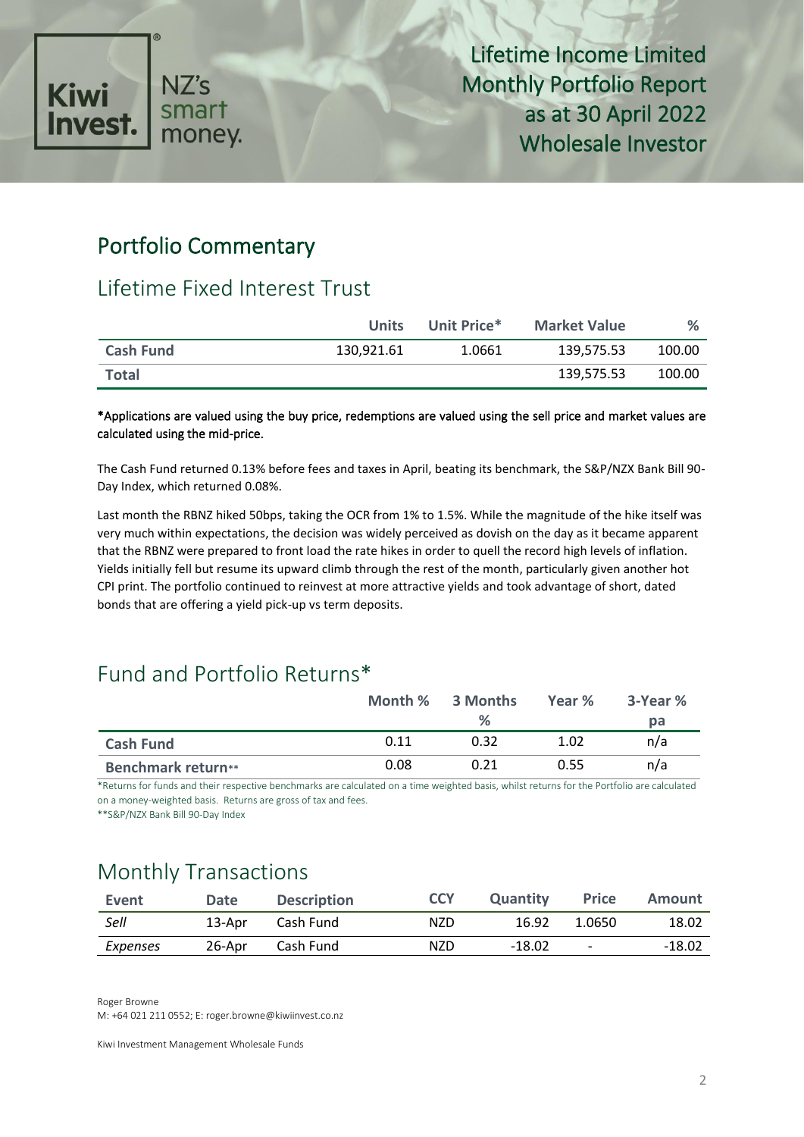

### Portfolio Commentary

### Lifetime Fixed Interest Trust

|                  | <b>Units</b> | Unit Price* | <b>Market Value</b> | $\%$   |
|------------------|--------------|-------------|---------------------|--------|
| <b>Cash Fund</b> | 130,921.61   | 1.0661      | 139.575.53          | 100.00 |
| <b>Total</b>     |              |             | 139.575.53          | 100.00 |

#### \*Applications are valued using the buy price, redemptions are valued using the sell price and market values are calculated using the mid-price.

The Cash Fund returned 0.13% before fees and taxes in April, beating its benchmark, the S&P/NZX Bank Bill 90- Day Index, which returned 0.08%.

Last month the RBNZ hiked 50bps, taking the OCR from 1% to 1.5%. While the magnitude of the hike itself was very much within expectations, the decision was widely perceived as dovish on the day as it became apparent that the RBNZ were prepared to front load the rate hikes in order to quell the record high levels of inflation. Yields initially fell but resume its upward climb through the rest of the month, particularly given another hot CPI print. The portfolio continued to reinvest at more attractive yields and took advantage of short, dated bonds that are offering a yield pick-up vs term deposits.

### Fund and Portfolio Returns\*

|                           | Month % | 3 Months | Year % | 3-Year % |
|---------------------------|---------|----------|--------|----------|
|                           |         | $\%$     |        | pа       |
| <b>Cash Fund</b>          | 0.11    | 0.32     | 1.02   | n/a      |
| <b>Benchmark return**</b> | 0.08    | 0.21     | 0.55   | n/a      |

\*Returns for funds and their respective benchmarks are calculated on a time weighted basis, whilst returns for the Portfolio are calculated on a money-weighted basis. Returns are gross of tax and fees.

\*\*S&P/NZX Bank Bill 90-Day Index

## Monthly Transactions

| Event    | <b>Date</b> | <b>Description</b> | <b>CCY</b> | <b>Quantity</b> | <b>Price</b>             | <b>Amount</b> |
|----------|-------------|--------------------|------------|-----------------|--------------------------|---------------|
| Sell     | 13-Apr      | Cash Fund          | NZD.       | 16.92           | 1.0650                   | 18.02         |
| Expenses | 26-Apr      | Cash Fund          | NZD.       | $-18.02$        | $\overline{\phantom{a}}$ | $-18.02$      |

Roger Browne

M: +64 021 211 0552; E: roger.browne@kiwiinvest.co.nz

Kiwi Investment Management Wholesale Funds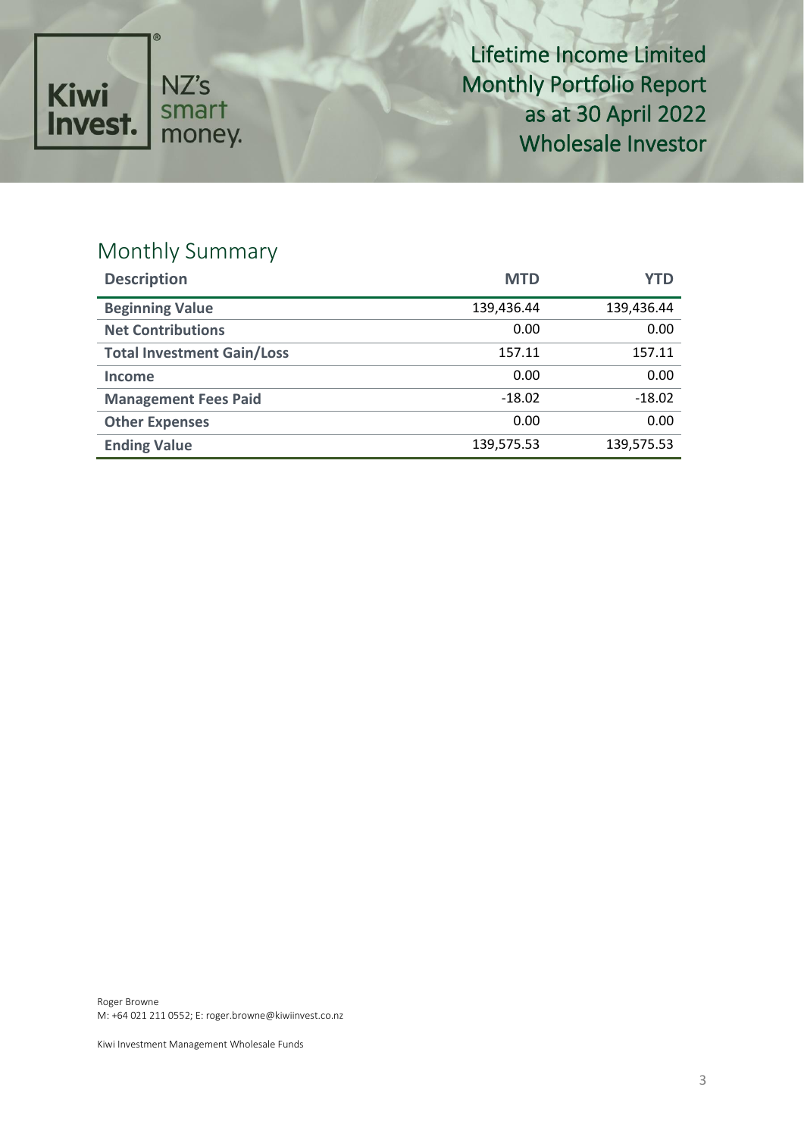

## Monthly Summary

| <b>Description</b>                | <b>MTD</b> | YTD        |
|-----------------------------------|------------|------------|
| <b>Beginning Value</b>            | 139,436.44 | 139,436.44 |
| <b>Net Contributions</b>          | 0.00       | 0.00       |
| <b>Total Investment Gain/Loss</b> | 157.11     | 157.11     |
| Income                            | 0.00       | 0.00       |
| <b>Management Fees Paid</b>       | $-18.02$   | $-18.02$   |
| <b>Other Expenses</b>             | 0.00       | 0.00       |
| <b>Ending Value</b>               | 139,575.53 | 139,575.53 |

Roger Browne M: +64 021 211 0552; E: roger.browne@kiwiinvest.co.nz

Kiwi Investment Management Wholesale Funds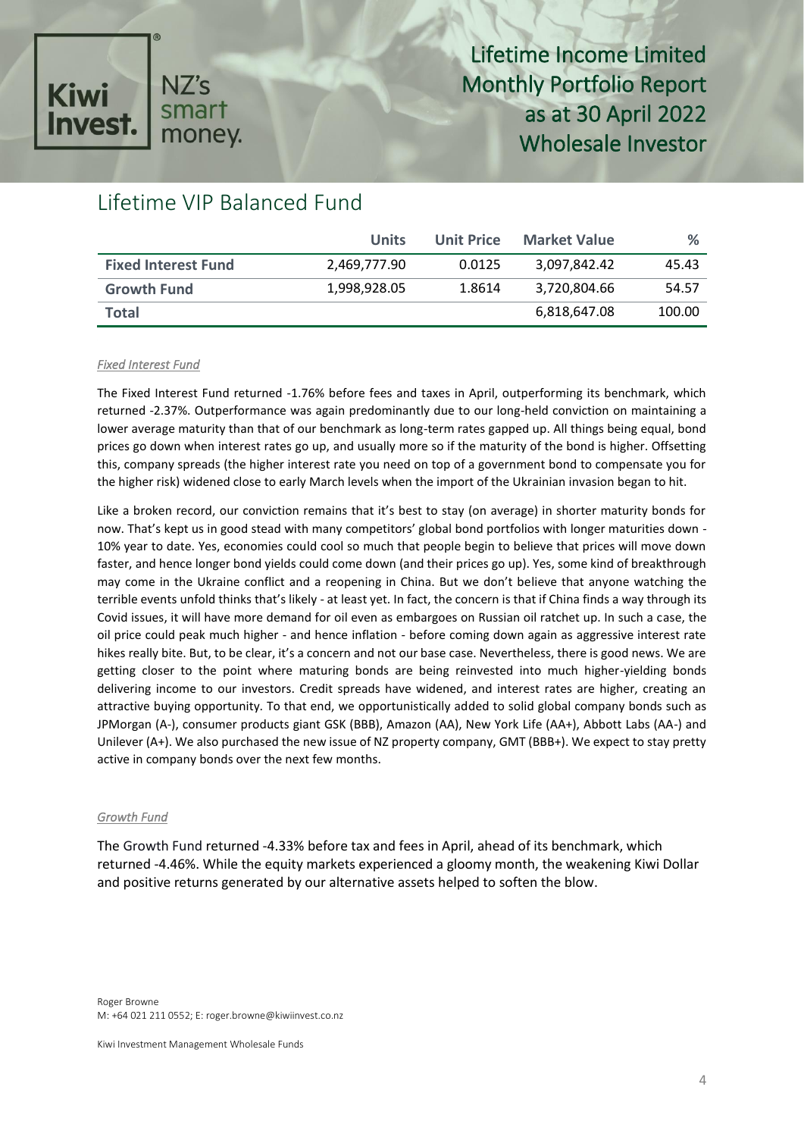### NZ's **Kiwi** smart **Invest** money.

# Lifetime Income Limited Monthly Portfolio Report as at 30 April 2022 Wholesale Investor

## Lifetime VIP Balanced Fund

|                            | <b>Units</b> | <b>Unit Price</b> | <b>Market Value</b> | %      |
|----------------------------|--------------|-------------------|---------------------|--------|
| <b>Fixed Interest Fund</b> | 2,469,777.90 | 0.0125            | 3.097.842.42        | 45.43  |
| <b>Growth Fund</b>         | 1,998,928.05 | 1.8614            | 3,720,804.66        | 54.57  |
| <b>Total</b>               |              |                   | 6,818,647.08        | 100.00 |

#### *Fixed Interest Fund*

The Fixed Interest Fund returned -1.76% before fees and taxes in April, outperforming its benchmark, which returned -2.37%. Outperformance was again predominantly due to our long-held conviction on maintaining a lower average maturity than that of our benchmark as long-term rates gapped up. All things being equal, bond prices go down when interest rates go up, and usually more so if the maturity of the bond is higher. Offsetting this, company spreads (the higher interest rate you need on top of a government bond to compensate you for the higher risk) widened close to early March levels when the import of the Ukrainian invasion began to hit.

Like a broken record, our conviction remains that it's best to stay (on average) in shorter maturity bonds for now. That's kept us in good stead with many competitors' global bond portfolios with longer maturities down - 10% year to date. Yes, economies could cool so much that people begin to believe that prices will move down faster, and hence longer bond yields could come down (and their prices go up). Yes, some kind of breakthrough may come in the Ukraine conflict and a reopening in China. But we don't believe that anyone watching the terrible events unfold thinks that's likely - at least yet. In fact, the concern is that if China finds a way through its Covid issues, it will have more demand for oil even as embargoes on Russian oil ratchet up. In such a case, the oil price could peak much higher - and hence inflation - before coming down again as aggressive interest rate hikes really bite. But, to be clear, it's a concern and not our base case. Nevertheless, there is good news. We are getting closer to the point where maturing bonds are being reinvested into much higher-yielding bonds delivering income to our investors. Credit spreads have widened, and interest rates are higher, creating an attractive buying opportunity. To that end, we opportunistically added to solid global company bonds such as JPMorgan (A-), consumer products giant GSK (BBB), Amazon (AA), New York Life (AA+), Abbott Labs (AA-) and Unilever (A+). We also purchased the new issue of NZ property company, GMT (BBB+). We expect to stay pretty active in company bonds over the next few months.

#### *Growth Fund*

The Growth Fund returned -4.33% before tax and fees in April, ahead of its benchmark, which returned -4.46%. While the equity markets experienced a gloomy month, the weakening Kiwi Dollar and positive returns generated by our alternative assets helped to soften the blow.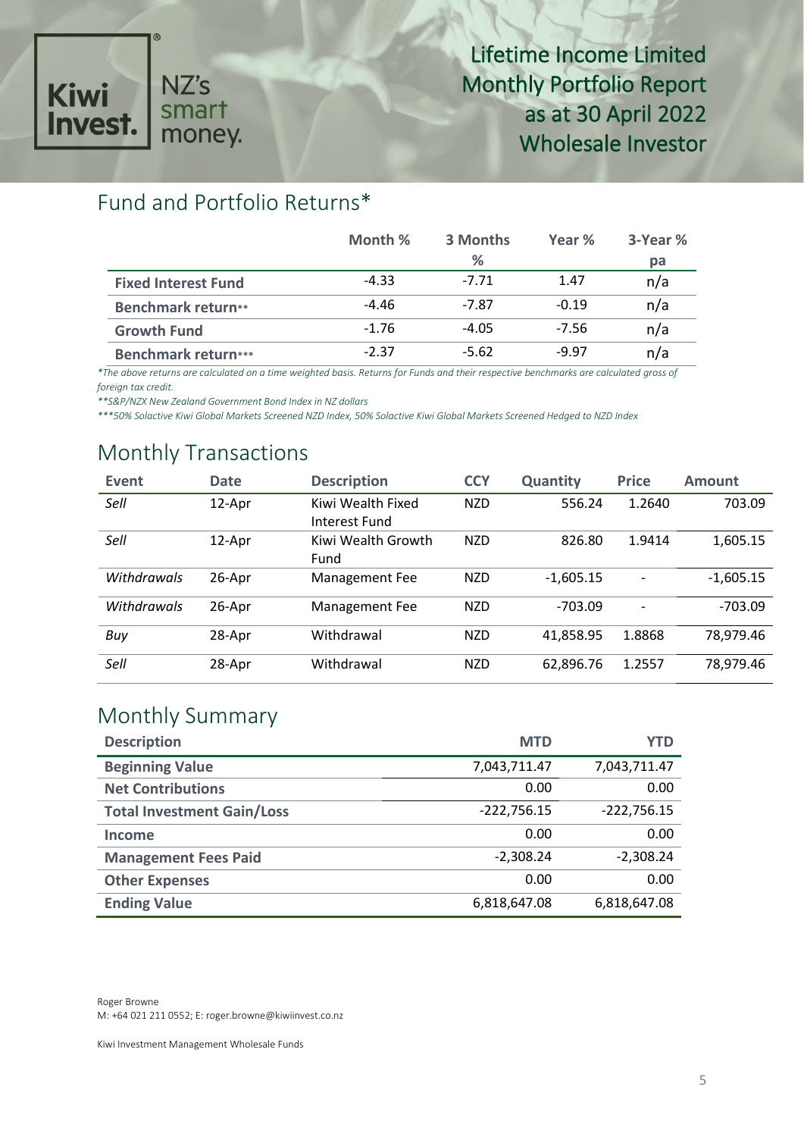

### Fund and Portfolio Returns\*

|                            | Month % | 3 Months | Year %  | 3-Year % |
|----------------------------|---------|----------|---------|----------|
|                            |         | ℅        |         | pa       |
| <b>Fixed Interest Fund</b> | $-4.33$ | $-7.71$  | 1.47    | n/a      |
| <b>Benchmark return**</b>  | $-4.46$ | $-7.87$  | $-0.19$ | n/a      |
| <b>Growth Fund</b>         | $-1.76$ | $-4.05$  | $-7.56$ | n/a      |
| <b>Benchmark return***</b> | $-2.37$ | $-5.62$  | $-9.97$ | n/a      |

*\*The above returns are calculated on a time weighted basis. Returns for Funds and their respective benchmarks are calculated gross of foreign tax credit.* 

*\*\*S&P/NZX New Zealand Government Bond Index in NZ dollars*

*\*\*\*50% Solactive Kiwi Global Markets Screened NZD Index, 50% Solactive Kiwi Global Markets Screened Hedged to NZD Index*

### Monthly Transactions

| Event              | <b>Date</b> | <b>Description</b>                 | <b>CCY</b> | <b>Quantity</b> | <b>Price</b> | <b>Amount</b> |
|--------------------|-------------|------------------------------------|------------|-----------------|--------------|---------------|
| Sell               | 12-Apr      | Kiwi Wealth Fixed<br>Interest Fund | <b>NZD</b> | 556.24          | 1.2640       | 703.09        |
| Sell               | 12-Apr      | Kiwi Wealth Growth<br>Fund         | <b>NZD</b> | 826.80          | 1.9414       | 1,605.15      |
| <b>Withdrawals</b> | 26-Apr      | Management Fee                     | <b>NZD</b> | $-1,605.15$     |              | $-1,605.15$   |
| Withdrawals        | 26-Apr      | Management Fee                     | <b>NZD</b> | $-703.09$       | -            | $-703.09$     |
| Buy                | 28-Apr      | Withdrawal                         | <b>NZD</b> | 41,858.95       | 1.8868       | 78,979.46     |
| Sell               | 28-Apr      | Withdrawal                         | <b>NZD</b> | 62,896.76       | 1.2557       | 78,979.46     |

### Monthly Summary

| <b>Description</b>                | <b>MTD</b>    | YTD           |
|-----------------------------------|---------------|---------------|
| <b>Beginning Value</b>            | 7,043,711.47  | 7,043,711.47  |
| <b>Net Contributions</b>          | 0.00          | 0.00          |
| <b>Total Investment Gain/Loss</b> | $-222,756.15$ | $-222,756.15$ |
| Income                            | 0.00          | 0.00          |
| <b>Management Fees Paid</b>       | $-2,308.24$   | $-2,308.24$   |
| <b>Other Expenses</b>             | 0.00          | 0.00          |
| <b>Ending Value</b>               | 6,818,647.08  | 6,818,647.08  |

Roger Browne M: +64 021 211 0552; E: roger.browne@kiwiinvest.co.nz

Kiwi Investment Management Wholesale Funds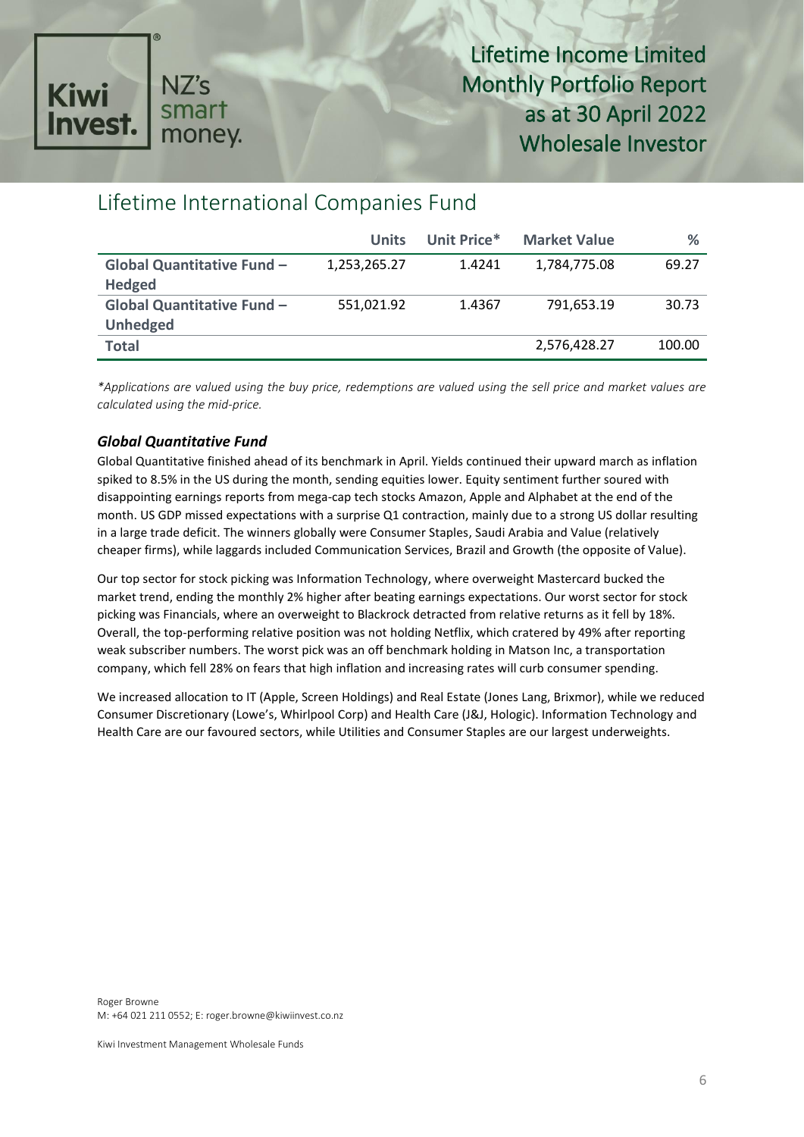

### Lifetime International Companies Fund

|                                   | <b>Units</b> | Unit Price* | <b>Market Value</b> | ℅      |
|-----------------------------------|--------------|-------------|---------------------|--------|
| <b>Global Quantitative Fund -</b> | 1,253,265.27 | 1.4241      | 1,784,775.08        | 69.27  |
| <b>Hedged</b>                     |              |             |                     |        |
| Global Quantitative Fund -        | 551,021.92   | 1.4367      | 791.653.19          | 30.73  |
| <b>Unhedged</b>                   |              |             |                     |        |
| <b>Total</b>                      |              |             | 2,576,428.27        | 100.00 |

*\*Applications are valued using the buy price, redemptions are valued using the sell price and market values are calculated using the mid-price.*

### *Global Quantitative Fund*

Global Quantitative finished ahead of its benchmark in April. Yields continued their upward march as inflation spiked to 8.5% in the US during the month, sending equities lower. Equity sentiment further soured with disappointing earnings reports from mega-cap tech stocks Amazon, Apple and Alphabet at the end of the month. US GDP missed expectations with a surprise Q1 contraction, mainly due to a strong US dollar resulting in a large trade deficit. The winners globally were Consumer Staples, Saudi Arabia and Value (relatively cheaper firms), while laggards included Communication Services, Brazil and Growth (the opposite of Value).

Our top sector for stock picking was Information Technology, where overweight Mastercard bucked the market trend, ending the monthly 2% higher after beating earnings expectations. Our worst sector for stock picking was Financials, where an overweight to Blackrock detracted from relative returns as it fell by 18%. Overall, the top-performing relative position was not holding Netflix, which cratered by 49% after reporting weak subscriber numbers. The worst pick was an off benchmark holding in Matson Inc, a transportation company, which fell 28% on fears that high inflation and increasing rates will curb consumer spending.

We increased allocation to IT (Apple, Screen Holdings) and Real Estate (Jones Lang, Brixmor), while we reduced Consumer Discretionary (Lowe's, Whirlpool Corp) and Health Care (J&J, Hologic). Information Technology and Health Care are our favoured sectors, while Utilities and Consumer Staples are our largest underweights.